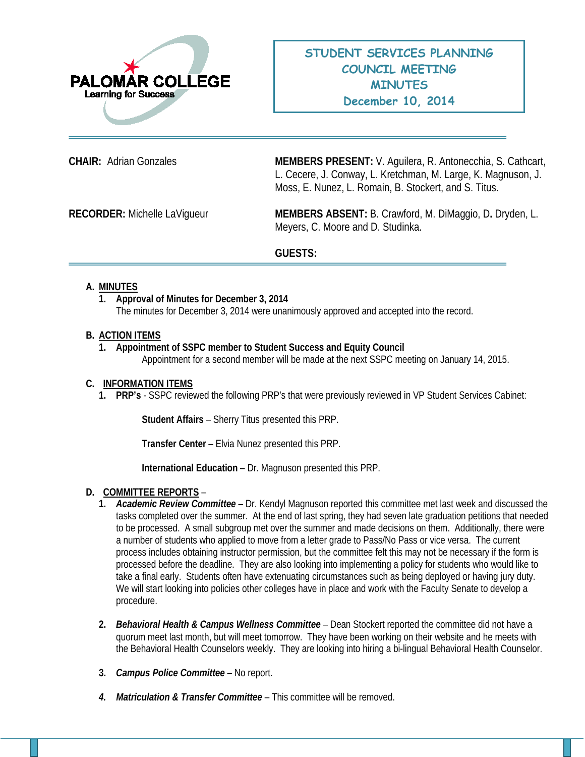

**CHAIR:** Adrian Gonzales **MEMBERS PRESENT:** V. Aguilera, R. Antonecchia, S. Cathcart, L. Cecere, J. Conway, L. Kretchman, M. Large, K. Magnuson, J. Moss, E. Nunez, L. Romain, B. Stockert, and S. Titus.

**RECORDER:** Michelle LaVigueur **MEMBERS ABSENT:** B. Crawford, M. DiMaggio, D**.** Dryden, L. Meyers, C. Moore and D. Studinka.

# **GUESTS:**

# **A. MINUTES**

**1. Approval of Minutes for December 3, 2014** The minutes for December 3, 2014 were unanimously approved and accepted into the record.

### **B. ACTION ITEMS**

**1. Appointment of SSPC member to Student Success and Equity Council** Appointment for a second member will be made at the next SSPC meeting on January 14, 2015.

# **C. INFORMATION ITEMS**

**1. PRP's** - SSPC reviewed the following PRP's that were previously reviewed in VP Student Services Cabinet:

**Student Affairs** – Sherry Titus presented this PRP.

**Transfer Center** – Elvia Nunez presented this PRP.

**International Education** – Dr. Magnuson presented this PRP.

# **D. COMMITTEE REPORTS** –

- **1.** *Academic Review Committee –* Dr. Kendyl Magnuson reported this committee met last week and discussed the tasks completed over the summer. At the end of last spring, they had seven late graduation petitions that needed to be processed. A small subgroup met over the summer and made decisions on them. Additionally, there were a number of students who applied to move from a letter grade to Pass/No Pass or vice versa. The current process includes obtaining instructor permission, but the committee felt this may not be necessary if the form is processed before the deadline. They are also looking into implementing a policy for students who would like to take a final early. Students often have extenuating circumstances such as being deployed or having jury duty. We will start looking into policies other colleges have in place and work with the Faculty Senate to develop a procedure.
- **2.** *Behavioral Health & Campus Wellness Committee* Dean Stockert reported the committee did not have a quorum meet last month, but will meet tomorrow. They have been working on their website and he meets with the Behavioral Health Counselors weekly. They are looking into hiring a bi-lingual Behavioral Health Counselor.
- **3.** *Campus Police Committee –* No report.
- *4. Matriculation & Transfer Committee* This committee will be removed.